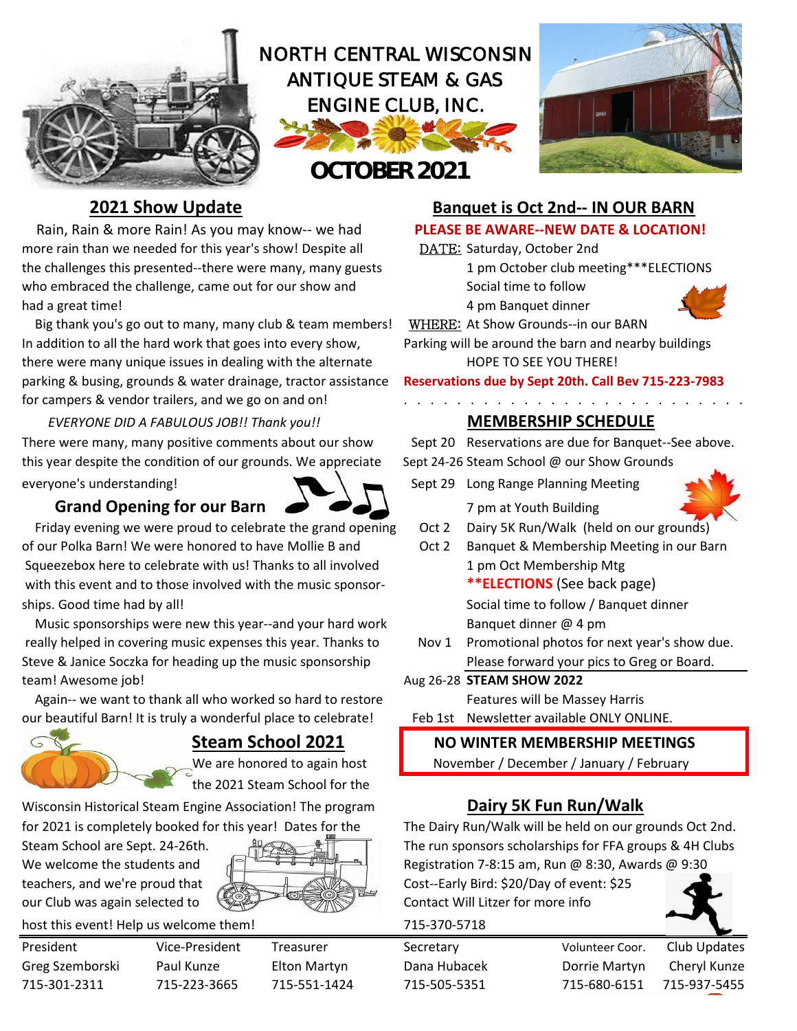

Rain, Rain & more Rain! As you may know-- we had **PLEASE BE AWARE--NEW DATE & LOCATION!** more rain than we needed for this year's show! Despite all DATE: Saturday, October 2nd the challenges this presented--there were many, many guests 1 pm October club meeting\*\*\*ELECTIONS who embraced the challenge, came out for our show and Social time to follow had a great time! 4 pm Banquet dinner

 Big thank you's go out to many, many club & team members! WHERE: At Show Grounds--in our BARN In addition to all the hard work that goes into every show, Parking will be around the barn and nearby buildings there were many unique issues in dealing with the alternate HOPE TO SEE YOU THERE! parking & busing, grounds & water drainage, tractor assistance **Reservations due by Sept 20th. Call Bev 715-223-7983** for campers & vendor trailers, and we go on and on!<br> $\ldots \ldots \ldots \ldots \ldots$ 

 *EVERYONE DID A FABULOUS JOB!! Thank you!!* **MEMBERSHIP SCHEDULE** There were many, many positive comments about our show Sept 20 Reservations are due for Banquet--See above. this year despite the condition of our grounds. We appreciate Sept 24-26 Steam School @ our Show Grounds everyone's understanding! Sept 29 Long Range Planning Meeting

## **Grand Opening for our Barn 8 200 1** 7 pm at Youth Building



 Friday evening we were proud to celebrate the grand opening Oct 2 Dairy 5K Run/Walk (held on our grounds) of our Polka Barn! We were honored to have Mollie B and Oct 2 Banquet & Membership Meeting in our Barn Squeezebox here to celebrate with us! Thanks to all involved 1 pm Oct Membership Mtg with this event and to those involved with the music sponsor-**\*\*\*ELECTIONS** (See back page) ships. Good time had by all! Social time to follow / Banquet dinner

Music sponsorships were new this year--and your hard work Banquet dinner @ 4 pm really helped in covering music expenses this year. Thanks to Nov 1 Promotional photos for next year's show due. Steve & Janice Soczka for heading up the music sponsorship Please forward your pics to Greg or Board. team! Awesome job! Aug 26-28 **STEAM SHOW 2022** 

Again-- we want to thank all who worked so hard to restore Features will be Massey Harris our beautiful Barn! It is truly a wonderful place to celebrate! Feb 1st Newsletter available ONLY ONLINE.



the 2021 Steam School for the

Wisconsin Historical Steam Engine Association! The program **Dairy 5K Fun Run/Walk** 

We welcome the students and  $\begin{bmatrix} 1 & \frac{1}{2} & \frac{1}{2} & \frac{1}{2} & \frac{1}{2} \\ 0 & \frac{1}{2} & \frac{1}{2} & \frac{1}{2} \\ 0 & \frac{1}{2} & \frac{1}{2} & \frac{1}{2} \end{bmatrix}$  Registration 7-8:15 am, Run @ 8:30, Awards @ 9:30



host this event! Help us welcome them! 715-370-5718

- 
- 
- 

## **2021 Show Update Banquet is Oct 2nd-- IN OUR BARN**





- 
- 

## **Steam School 2021 NO WINTER MEMBERSHIP MEETINGS**

We are honored to again host  $\blacksquare$  November / December / January / February

for 2021 is completely booked for this year! Dates for the The Dairy Run/Walk will be held on our grounds Oct 2nd. Steam School are Sept. 24-26th. The run sponsors scholarships for FFA groups & 4H Clubs

teachers, and we're proud that **Cost-Farly Bird: \$20/Day of event: \$25** our Club was again selected to Contact Will Litzer for more info